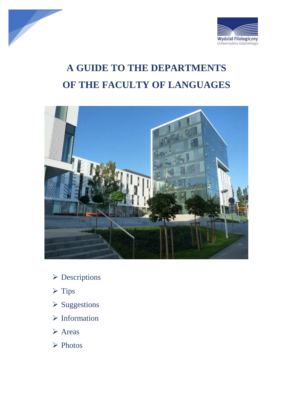



# **A GUIDE TO THE DEPARTMENTS OF THE FACULTY OF LANGUAGES**



- Descriptions
- $\triangleright$  Tips
- **≻ Suggestions**
- $\triangleright$  Information
- **≻** Areas
- **► Photos**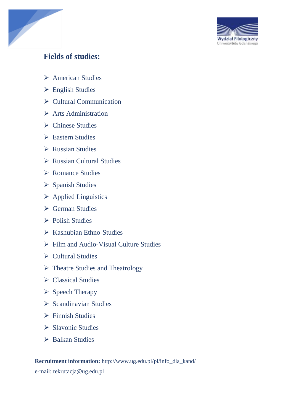

# **Fields of studies:**

- **► American Studies**
- English Studies
- $\triangleright$  Cultural Communication
- $\triangleright$  Arts Administration
- $\triangleright$  Chinese Studies
- **► Eastern Studies**
- $\triangleright$  Russian Studies
- Russian Cultural Studies
- **► Romance Studies**
- ▶ Spanish Studies
- $\triangleright$  Applied Linguistics
- $\triangleright$  German Studies
- $\triangleright$  Polish Studies
- $\triangleright$  Kashubian Ethno-Studies
- Film and Audio-Visual Culture Studies
- $\triangleright$  Cultural Studies
- $\triangleright$  Theatre Studies and Theatrology
- $\triangleright$  Classical Studies
- $\triangleright$  Speech Therapy
- $\triangleright$  Scandinavian Studies
- $\triangleright$  Finnish Studies
- $\triangleright$  Slavonic Studies
- $\triangleright$  Balkan Studies

**Recruitment information:** [http://www.ug.edu.pl/pl/info\\_dla\\_kand/](http://www.ug.edu.pl/pl/info_dla_kand/) e-mail: [rekrutacja@ug.edu.pl](mailto:rekrutacja@ug.edu.pl)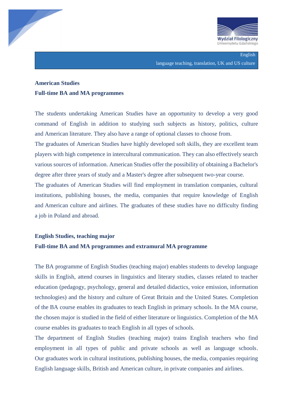

English language teaching, translation, UK and US culture

### **American Studies Full-time BA and MA programmes**

The students undertaking American Studies have an opportunity to develop a very good command of English in addition to studying such subjects as history, politics, culture and American literature. They also have a range of optional classes to choose from.

The graduates of American Studies have highly developed soft skills, they are excellent team players with high competence in intercultural communication. They can also effectively search various sources of information. American Studies offer the possibility of obtaining a Bachelor's degree after three years of study and a Master's degree after subsequent two-year course.

The graduates of American Studies will find employment in translation companies, cultural institutions, publishing houses, the media, companies that require knowledge of English and American culture and airlines. The graduates of these studies have no difficulty finding a job in Poland and abroad.

### **English Studies, teaching major Full-time BA and MA programmes and extramural MA programme**

The BA programme of English Studies (teaching major) enables students to develop language skills in English, attend courses in linguistics and literary studies, classes related to teacher education (pedagogy, psychology, general and detailed didactics, voice emission, information technologies) and the history and culture of Great Britain and the United States. Completion of the BA course enables its graduates to teach English in primary schools. In the MA course, the chosen major is studied in the field of either literature or linguistics. Completion of the MA course enables its graduates to teach English in all types of schools.

The department of English Studies (teaching major) trains English teachers who find employment in all types of public and private schools as well as language schools. Our graduates work in cultural institutions, publishing houses, the media, companies requiring English language skills, British and American culture, in private companies and airlines.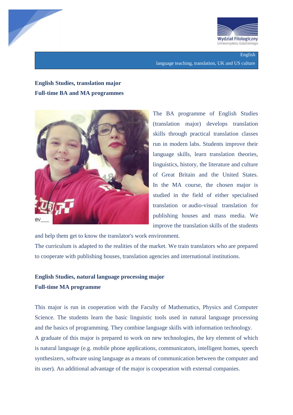



English language teaching, translation, UK and US culture

# **English Studies, translation major Full-time BA and MA programmes**



The BA programme of English Studies (translation major) develops translation skills through practical translation classes run in modern labs. Students improve their language skills, learn translation theories, linguistics, history, the literature and culture of Great Britain and the United States. In the MA course, the chosen major is studied in the field of either specialised translation or audio-visual translation for publishing houses and mass media. We improve the translation skills of the students

and help them get to know the translator's work environment. The curriculum is adapted to the realities of the market. We train translators who are prepared to cooperate with publishing houses, translation agencies and international institutions.

### **English Studies, natural language processing major Full-time MA programme**

This major is run in cooperation with the Faculty of Mathematics, Physics and Computer Science. The students learn the basic linguistic tools used in natural language processing and the basics of programming. They combine language skills with information technology. A graduate of this major is prepared to work on new technologies, the key element of which is natural language (e.g. mobile phone applications, communicators, intelligent homes, speech synthesizers, software using language as a means of communication between the computer and its user). An additional advantage of the major is cooperation with external companies.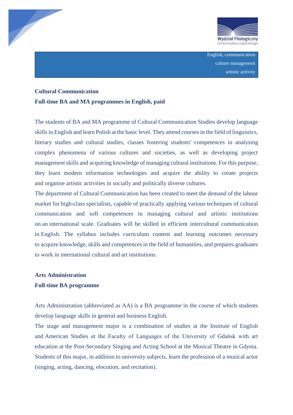



English, communication culture management artistic activity

### **Cultural Communication Full-time BA and MA programmes in English, paid**

The students of BA and MA programme of Cultural Communication Studies develop language skills in English and learn Polish at the basic level. They attend courses in the field of linguistics, literary studies and cultural studies, classes fostering students' competences in analysing complex phenomena of various cultures and societies, as well as developing project management skills and acquiring knowledge of managing cultural institutions. For this purpose, they learn modern information technologies and acquire the ability to create projects and organise artistic activities in socially and politically diverse cultures.

The department of Cultural Communication has been created to meet the demand of the labour market for high-class specialists, capable of practically applying various techniques of cultural communication and soft competences in managing cultural and artistic institutions on an international scale. Graduates will be skilled in efficient intercultural communication in English. The syllabus includes curriculum content and learning outcomes necessary to acquire knowledge, skills and competences in the field of humanities, and prepares graduates to work in international cultural and art institutions.

### **Arts Administration**

#### **Full-time BA programme**

Arts Administration (abbreviated as AA) is a BA programme in the course of which students develop language skills in general and business English.

The stage and management major is a combination of studies at the Institute of English and American Studies at the Faculty of Languages of the University of Gdańsk with art education at the Post-Secondary Singing and Acting School at the Musical Theatre in Gdynia. Students of this major, in addition to university subjects, learn the profession of a musical actor (singing, acting, dancing, elocution, and recitation).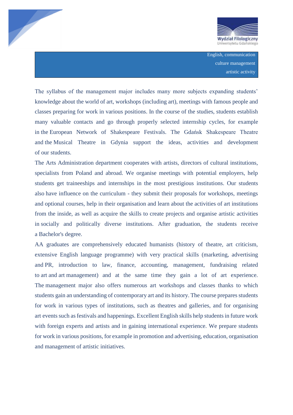



The syllabus of the management major includes many more subjects expanding students' knowledge about the world of art, workshops (including art), meetings with famous people and classes preparing for work in various positions. In the course of the studies, students establish many valuable contacts and go through properly selected internship cycles, for example in the European Network of Shakespeare Festivals. The Gdańsk Shakespeare Theatre and the Musical Theatre in Gdynia support the ideas, activities and development of our students.

The Arts Administration department cooperates with artists, directors of cultural institutions, specialists from Poland and abroad. We organise meetings with potential employers, help students get traineeships and internships in the most prestigious institutions. Our students also have influence on the curriculum - they submit their proposals for workshops, meetings and optional courses, help in their organisation and learn about the activities of art institutions from the inside, as well as acquire the skills to create projects and organise artistic activities in socially and politically diverse institutions. After graduation, the students receive a Bachelor's degree.

AA graduates are comprehensively educated humanists (history of theatre, art criticism, extensive English language programme) with very practical skills (marketing, advertising and PR, introduction to law, finance, accounting, management, fundraising related to art and art management) and at the same time they gain a lot of art experience. The management major also offers numerous art workshops and classes thanks to which students gain an understanding of contemporary art and its history. The course prepares students for work in various types of institutions, such as theatres and galleries, and for organising art events such as festivals and happenings. Excellent English skills help students in future work with foreign experts and artists and in gaining international experience. We prepare students for work in various positions, for example in promotion and advertising, education, organisation and management of artistic initiatives.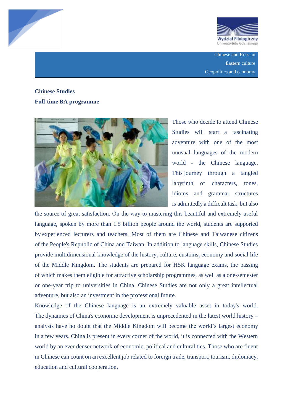



Chinese and Russian Eastern culture Geopolitics and economy

# **Chinese Studies Full-time BA programme**



Those who decide to attend Chinese Studies will start a fascinating adventure with one of the most unusual languages of the modern world - the Chinese language. This journey through a tangled labyrinth of characters, tones, idioms and grammar structures is admittedly a difficult task, but also

the source of great satisfaction. On the way to mastering this beautiful and extremely useful language, spoken by more than 1.5 billion people around the world, students are supported by experienced lecturers and teachers. Most of them are Chinese and Taiwanese citizens of the People's Republic of China and Taiwan. In addition to language skills, Chinese Studies provide multidimensional knowledge of the history, culture, customs, economy and social life of the Middle Kingdom. The students are prepared for HSK language exams, the passing of which makes them eligible for attractive scholarship programmes, as well as a one-semester or one-year trip to universities in China. Chinese Studies are not only a great intellectual adventure, but also an investment in the professional future.

Knowledge of the Chinese language is an extremely valuable asset in today's world. The dynamics of China's economic development is unprecedented in the latest world history – analysts have no doubt that the Middle Kingdom will become the world's largest economy in a few years. China is present in every corner of the world, it is connected with the Western world by an ever denser network of economic, political and cultural ties. Those who are fluent in Chinese can count on an excellent job related to foreign trade, transport, tourism, diplomacy, education and cultural cooperation.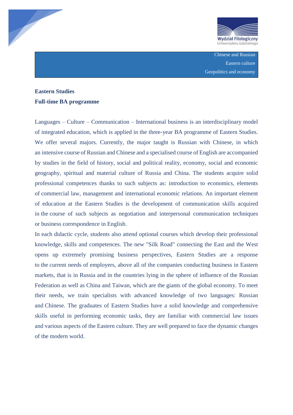



Chinese and Russian Eastern culture Geopolitics and economy

### **Eastern Studies Full-time BA programme**

Languages – Culture – Communication – International business is an interdisciplinary model of integrated education, which is applied in the three-year BA programme of Eastern Studies. We offer several majors. Currently, the major taught is Russian with Chinese, in which an intensive course of Russian and Chinese and a specialised course of English are accompanied by studies in the field of history, social and political reality, economy, social and economic geography, spiritual and material culture of Russia and China. The students acquire solid professional competences thanks to such subjects as: introduction to economics, elements of commercial law, management and international economic relations. An important element of education at the Eastern Studies is the development of communication skills acquired in the course of such subjects as negotiation and interpersonal communication techniques or business correspondence in English.

In each didactic cycle, students also attend optional courses which develop their professional knowledge, skills and competences. The new "Silk Road" connecting the East and the West opens up extremely promising business perspectives, Eastern Studies are a response to the current needs of employers, above all of the companies conducting business in Eastern markets, that is in Russia and in the countries lying in the sphere of influence of the Russian Federation as well as China and Taiwan, which are the giants of the global economy. To meet their needs, we train specialists with advanced knowledge of two languages: Russian and Chinese. The graduates of Eastern Studies have a solid knowledge and comprehensive skills useful in performing economic tasks, they are familiar with commercial law issues and various aspects of the Eastern culture. They are well prepared to face the dynamic changes of the modern world.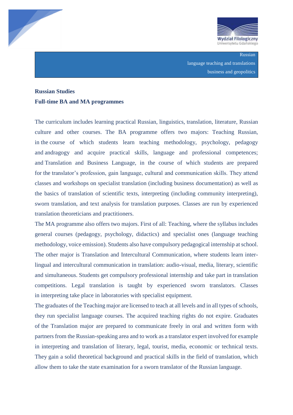



Russian language teaching and translations business and geopolitics

### **Russian Studies Full-time BA and MA programmes**

The curriculum includes learning practical Russian, linguistics, translation, literature, Russian culture and other courses. The BA programme offers two majors: Teaching Russian, in the course of which students learn teaching methodology, psychology, pedagogy and andragogy and acquire practical skills, language and professional competences; and Translation and Business Language, in the course of which students are prepared for the translator's profession, gain language, cultural and communication skills. They attend classes and workshops on specialist translation (including business documentation) as well as the basics of translation of scientific texts, interpreting (including community interpreting), sworn translation, and text analysis for translation purposes. Classes are run by experienced translation theoreticians and practitioners.

The MA programme also offers two majors. First of all: Teaching, where the syllabus includes general courses (pedagogy, psychology, didactics) and specialist ones (language teaching methodology, voice emission). Students also have compulsory pedagogical internship at school. The other major is Translation and Intercultural Communication, where students learn interlingual and intercultural communication in translation: audio-visual, media, literary, scientific and simultaneous. Students get compulsory professional internship and take part in translation competitions. Legal translation is taught by experienced sworn translators. Classes in interpreting take place in laboratories with specialist equipment.

The graduates of the Teaching major are licensed to teach at all levels and in all types of schools, they run specialist language courses. The acquired teaching rights do not expire. Graduates of the Translation major are prepared to communicate freely in oral and written form with partners from the Russian-speaking area and to work as a translator expert involved for example in interpreting and translation of literary, legal, tourist, media, economic or technical texts. They gain a solid theoretical background and practical skills in the field of translation, which allow them to take the state examination for a sworn translator of the Russian language.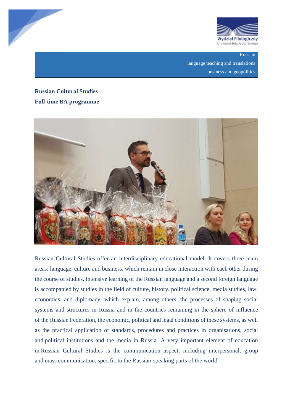



Russian language teaching and translations business and geopolitics

## **Russian Cultural Studies Full-time BA programme**



Russian Cultural Studies offer an interdisciplinary educational model. It covers three main areas: language, culture and business, which remain in close interaction with each other during the course of studies. Intensive learning of the Russian language and a second foreign language is accompanied by studies in the field of culture, history, political science, media studies, law, economics, and diplomacy, which explain, among others, the processes of shaping social systems and structures in Russia and in the countries remaining in the sphere of influence of the Russian Federation, the economic, political and legal conditions of these systems, as well as the practical application of standards, procedures and practices in organisations, social and political institutions and the media in Russia. A very important element of education in Russian Cultural Studies is the communication aspect, including interpersonal, group and mass communication, specific to the Russian-speaking parts of the world.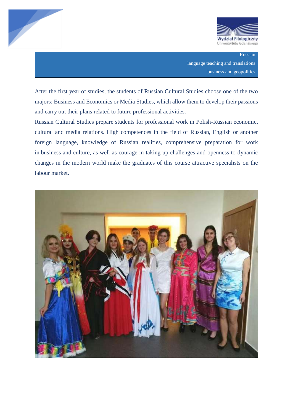



Russian language teaching and translations business and geopolitics

After the first year of studies, the students of Russian Cultural Studies choose one of the two majors: Business and Economics or Media Studies, which allow them to develop their passions and carry out their plans related to future professional activities.

Russian Cultural Studies prepare students for professional work in Polish-Russian economic, cultural and media relations. High competences in the field of Russian, English or another foreign language, knowledge of Russian realities, comprehensive preparation for work in business and culture, as well as courage in taking up challenges and openness to dynamic changes in the modern world make the graduates of this course attractive specialists on the labour market.

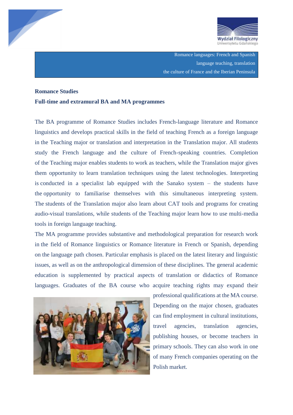



Romance languages: French and Spanish language teaching, translation the culture of France and the Iberian Peninsula

#### **Romance Studies**

#### **Full-time and extramural BA and MA programmes**

The BA programme of Romance Studies includes French-language literature and Romance linguistics and develops practical skills in the field of teaching French as a foreign language in the Teaching major or translation and interpretation in the Translation major. All students study the French language and the culture of French-speaking countries. Completion of the Teaching major enables students to work as teachers, while the Translation major gives them opportunity to learn translation techniques using the latest technologies. Interpreting is conducted in a specialist lab equipped with the Sanako system – the students have the opportunity to familiarise themselves with this simultaneous interpreting system. The students of the Translation major also learn about CAT tools and programs for creating audio-visual translations, while students of the Teaching major learn how to use multi-media tools in foreign language teaching.

The MA programme provides substantive and methodological preparation for research work in the field of Romance linguistics or Romance literature in French or Spanish, depending on the language path chosen. Particular emphasis is placed on the latest literary and linguistic issues, as well as on the anthropological dimension of these disciplines. The general academic education is supplemented by practical aspects of translation or didactics of Romance languages. Graduates of the BA course who acquire teaching rights may expand their



professional qualifications at the MA course. Depending on the major chosen, graduates can find employment in cultural institutions, travel agencies, translation agencies, publishing houses, or become teachers in primary schools. They can also work in one of many French companies operating on the Polish market.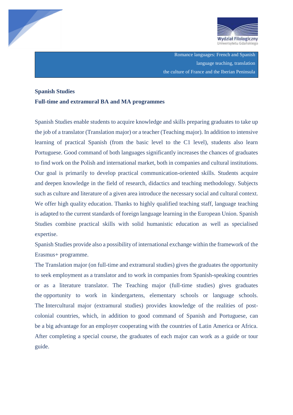



Romance languages: French and Spanish language teaching, translation the culture of France and the Iberian Peninsula

### **Spanish Studies**

#### **Full-time and extramural BA and MA programmes**

Spanish Studies enable students to acquire knowledge and skills preparing graduates to take up the job of a translator (Translation major) or a teacher (Teaching major). In addition to intensive learning of practical Spanish (from the basic level to the C1 level), students also learn Portuguese. Good command of both languages significantly increases the chances of graduates to find work on the Polish and international market, both in companies and cultural institutions. Our goal is primarily to develop practical communication-oriented skills. Students acquire and deepen knowledge in the field of research, didactics and teaching methodology. Subjects such as culture and literature of a given area introduce the necessary social and cultural context. We offer high quality education. Thanks to highly qualified teaching staff, language teaching is adapted to the current standards of foreign language learning in the European Union. Spanish Studies combine practical skills with solid humanistic education as well as specialised expertise.

Spanish Studies provide also a possibility of international exchange within the framework of the Erasmus+ programme.

The Translation major (on full-time and extramural studies) gives the graduates the opportunity to seek employment as a translator and to work in companies from Spanish-speaking countries or as a literature translator. The Teaching major (full-time studies) gives graduates the opportunity to work in kindergartens, elementary schools or language schools. The Intercultural major (extramural studies) provides knowledge of the realities of postcolonial countries, which, in addition to good command of Spanish and Portuguese, can be a big advantage for an employer cooperating with the countries of Latin America or Africa. After completing a special course, the graduates of each major can work as a guide or tour guide.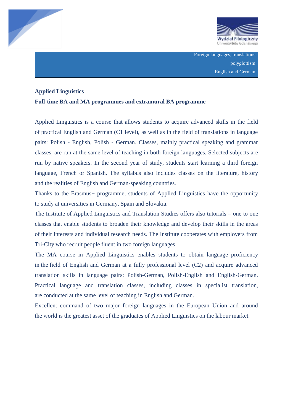



### **Applied Linguistics**

### **Full-time BA and MA programmes and extramural BA programme**

Applied Linguistics is a course that allows students to acquire advanced skills in the field of practical English and German (C1 level), as well as in the field of translations in language pairs: Polish - English, Polish - German. Classes, mainly practical speaking and grammar classes, are run at the same level of teaching in both foreign languages. Selected subjects are run by native speakers. In the second year of study, students start learning a third foreign language, French or Spanish. The syllabus also includes classes on the literature, history and the realities of English and German-speaking countries.

Thanks to the Erasmus+ programme, students of Applied Linguistics have the opportunity to study at universities in Germany, Spain and Slovakia.

The Institute of Applied Linguistics and Translation Studies offers also tutorials – one to one classes that enable students to broaden their knowledge and develop their skills in the areas of their interests and individual research needs. The Institute cooperates with employers from Tri-City who recruit people fluent in two foreign languages.

The MA course in Applied Linguistics enables students to obtain language proficiency in the field of English and German at a fully professional level (C2) and acquire advanced translation skills in language pairs: Polish-German, Polish-English and English-German. Practical language and translation classes, including classes in specialist translation, are conducted at the same level of teaching in English and German.

Excellent command of two major foreign languages in the European Union and around the world is the greatest asset of the graduates of Applied Linguistics on the labour market.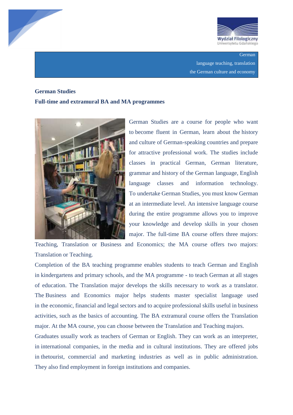



### **German**

language teaching, translation the German culture and economy

### **German Studies**

#### **Full-time and extramural BA and MA programmes**



German Studies are a course for people who want to become fluent in German, learn about the history and culture of German-speaking countries and prepare for attractive professional work. The studies include classes in practical German, German literature, grammar and history of the German language, English language classes and information technology. To undertake German Studies, you must know German at an intermediate level. An intensive language course during the entire programme allows you to improve your knowledge and develop skills in your chosen major. The full-time BA course offers three majors:

Teaching, Translation or Business and Economics; the MA course offers two majors: Translation or Teaching.

Completion of the BA teaching programme enables students to teach German and English in kindergartens and primary schools, and the MA programme - to teach German at all stages of education. The Translation major develops the skills necessary to work as a translator. The Business and Economics major helps students master specialist language used in the economic, financial and legal sectors and to acquire professional skills useful in business activities, such as the basics of accounting. The BA extramural course offers the Translation major. At the MA course, you can choose between the Translation and Teaching majors.

Graduates usually work as teachers of German or English. They can work as an interpreter, in international companies, in the media and in cultural institutions. They are offered jobs in thetourist, commercial and marketing industries as well as in public administration. They also find employment in foreign institutions and companies.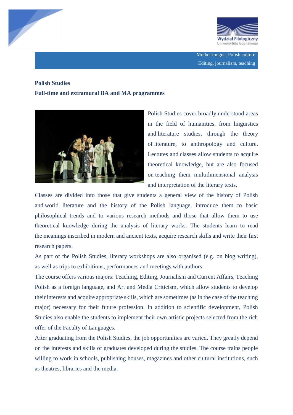



### **Polish Studies**

**Full-time and extramural BA and MA programmes** 



Polish Studies cover broadly understood areas in the field of humanities, from linguistics and literature studies, through the theory of literature, to anthropology and culture. Lectures and classes allow students to acquire theoretical knowledge, but are also focused on teaching them multidimensional analysis and interpretation of the literary texts.

Classes are divided into those that give students a general view of the history of Polish and world literature and the history of the Polish language, introduce them to basic philosophical trends and to various research methods and those that allow them to use theoretical knowledge during the analysis of literary works. The students learn to read the meanings inscribed in modern and ancient texts, acquire research skills and write their first research papers.

As part of the Polish Studies, literary workshops are also organised (e.g. on blog writing), as well as trips to exhibitions, performances and meetings with authors.

The course offers various majors: Teaching, Editing, Journalism and Current Affairs, Teaching Polish as a foreign language, and Art and Media Criticism, which allow students to develop their interests and acquire appropriate skills, which are sometimes (as in the case of the teaching major) necessary for their future profession. In addition to scientific development, Polish Studies also enable the students to implement their own artistic projects selected from the rich offer of the Faculty of Languages.

After graduating from the Polish Studies, the job opportunities are varied. They greatly depend on the interests and skills of graduates developed during the studies. The course trains people willing to work in schools, publishing houses, magazines and other cultural institutions, such as theatres, libraries and the media.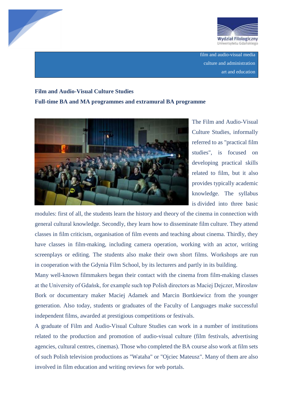



film and audio-visual media culture and administration art and education

# **Film and Audio-Visual Culture Studies Full-time BA and MA programmes and extramural BA programme**



The Film and Audio-Visual Culture Studies, informally referred to as "practical film studies", is focused on developing practical skills related to film, but it also provides typically academic knowledge. The syllabus is divided into three basic

modules: first of all, the students learn the history and theory of the cinema in connection with general cultural knowledge. Secondly, they learn how to disseminate film culture. They attend classes in film criticism, organisation of film events and teaching about cinema. Thirdly, they have classes in film-making, including camera operation, working with an actor, writing screenplays or editing. The students also make their own short films. Workshops are run in cooperation with the Gdynia Film School, by its lecturers and partly in its building.

Many well-known filmmakers began their contact with the cinema from film-making classes at the University of Gdańsk, for example such top Polish directors as Maciej Dejczer, Mirosław Bork or documentary maker Maciej Adamek and Marcin Bortkiewicz from the younger generation. Also today, students or graduates of the Faculty of Languages make successful independent films, awarded at prestigious competitions or festivals.

A graduate of Film and Audio-Visual Culture Studies can work in a number of institutions related to the production and promotion of audio-visual culture (film festivals, advertising agencies, cultural centres, cinemas). Those who completed the BA course also work at film sets of such Polish television productions as "Wataha" or "Ojciec Mateusz". Many of them are also involved in film education and writing reviews for web portals.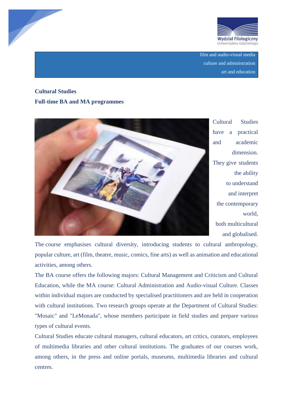



film and audio-visual media culture and administration art and education

# **Cultural Studies Full-time BA and MA programmes**



Cultural Studies have a practical and academic dimension. They give students the ability to understand and interpret the contemporary world, both multicultural and globalised.

The course emphasises cultural diversity, introducing students to cultural anthropology, popular culture, art (film, theatre, music, comics, fine arts) as well as animation and educational activities, among others.

The BA course offers the following majors: Cultural Management and Criticism and Cultural Education, while the MA course: Cultural Administration and Audio-visual Culture. Classes within individual majors are conducted by specialised practitioners and are held in cooperation with cultural institutions. Two research groups operate at the Department of Cultural Studies: "Mosaic" and "LeMonada", whose members participate in field studies and prepare various types of cultural events.

Cultural Studies educate cultural managers, cultural educators, art critics, curators, employees of multimedia libraries and other cultural institutions. The graduates of our courses work, among others, in the press and online portals, museums, multimedia libraries and cultural centres.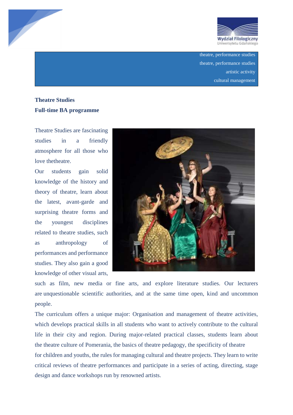

theatre, performance studies theatre, performance studies artistic activity cultural management

## **Theatre Studies Full-time BA programme**

Theatre Studies are fascinating studies in a friendly atmosphere for all those who love thetheatre.

Our students gain solid knowledge of the history and theory of theatre, learn about the latest, avant-garde and surprising theatre forms and the youngest disciplines related to theatre studies, such as anthropology of performances and performance studies. They also gain a good knowledge of other visual arts,



such as film, new media or fine arts, and explore literature studies. Our lecturers are unquestionable scientific authorities, and at the same time open, kind and uncommon people.

The curriculum offers a unique major: Organisation and management of theatre activities, which develops practical skills in all students who want to actively contribute to the cultural life in their city and region. During major-related practical classes, students learn about the theatre culture of Pomerania, the basics of theatre pedagogy, the specificity of theatre for children and youths, the rules for managing cultural and theatre projects. They learn to write critical reviews of theatre performances and participate in a series of acting, directing, stage

design and dance workshops run by renowned artists.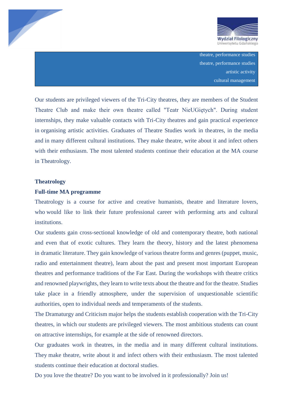



theatre, performance studies theatre, performance studies artistic activity cultural management

Our students are privileged viewers of the Tri-City theatres, they are members of the Student Theatre Club and make their own theatre called "Teatr NieUGiętych". During student internships, they make valuable contacts with Tri-City theatres and gain practical experience in organising artistic activities. Graduates of Theatre Studies work in theatres, in the media and in many different cultural institutions. They make theatre, write about it and infect others with their enthusiasm. The most talented students continue their education at the MA course in Theatrology.

#### **Theatrology**

#### **Full-time MA programme**

Theatrology is a course for active and creative humanists, theatre and literature lovers, who would like to link their future professional career with performing arts and cultural institutions.

Our students gain cross-sectional knowledge of old and contemporary theatre, both national and even that of exotic cultures. They learn the theory, history and the latest phenomena in dramatic literature. They gain knowledge of various theatre forms and genres (puppet, music, radio and entertainment theatre), learn about the past and present most important European theatres and performance traditions of the Far East. During the workshops with theatre critics and renowned playwrights, they learn to write texts about the theatre and for the theatre. Studies take place in a friendly atmosphere, under the supervision of unquestionable scientific authorities, open to individual needs and temperaments of the students.

The Dramaturgy and Criticism major helps the students establish cooperation with the Tri-City theatres, in which our students are privileged viewers. The most ambitious students can count on attractive internships, for example at the side of renowned directors.

Our graduates work in theatres, in the media and in many different cultural institutions. They make theatre, write about it and infect others with their enthusiasm. The most talented students continue their education at doctoral studies.

Do you love the theatre? Do you want to be involved in it professionally? Join us!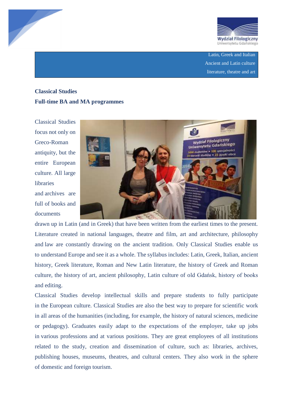



Latin, Greek and Italian Ancient and Latin culture literature, theatre and art

# **Classical Studies Full-time BA and MA programmes**

Classical Studies focus not only on Greco-Roman antiquity, but the entire European culture. All large libraries and archives are full of books and documents



drawn up in Latin (and in Greek) that have been written from the earliest times to the present. Literature created in national languages, theatre and film, art and architecture, philosophy and law are constantly drawing on the ancient tradition. Only Classical Studies enable us to understand Europe and see it as a whole. The syllabus includes: Latin, Greek, Italian, ancient history, Greek literature, Roman and New Latin literature, the history of Greek and Roman culture, the history of art, ancient philosophy, Latin culture of old Gdańsk, history of books and editing.

Classical Studies develop intellectual skills and prepare students to fully participate in the European culture. Classical Studies are also the best way to prepare for scientific work in all areas of the humanities (including, for example, the history of natural sciences, medicine or pedagogy). Graduates easily adapt to the expectations of the employer, take up jobs in various professions and at various positions. They are great employees of all institutions related to the study, creation and dissemination of culture, such as: libraries, archives, publishing houses, museums, theatres, and cultural centers. They also work in the sphere of domestic and foreign tourism.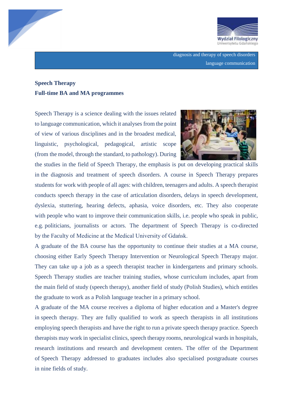

diagnosis and therapy of speech disorders language communication

### **Speech Therapy Full-time BA and MA programmes**

Speech Therapy is a science dealing with the issues related to language communication, which it analyses from the point of view of various disciplines and in the broadest medical, linguistic, psychological, pedagogical, artistic scope (from the model, through the standard, to pathology). During



the studies in the field of Speech Therapy, the emphasis is put on developing practical skills in the diagnosis and treatment of speech disorders. A course in Speech Therapy prepares students for work with people of all ages: with children, teenagers and adults. A speech therapist conducts speech therapy in the case of articulation disorders, delays in speech development, dyslexia, stuttering, hearing defects, aphasia, voice disorders, etc. They also cooperate with people who want to improve their communication skills, *i.e.* people who speak in public, e.g. politicians, journalists or actors. The department of Speech Therapy is co-directed by the Faculty of Medicine at the Medical University of Gdańsk.

A graduate of the BA course has the opportunity to continue their studies at a MA course, choosing either Early Speech Therapy Intervention or Neurological Speech Therapy major. They can take up a job as a speech therapist teacher in kindergartens and primary schools. Speech Therapy studies are teacher training studies, whose curriculum includes, apart from the main field of study (speech therapy), another field of study (Polish Studies), which entitles the graduate to work as a Polish language teacher in a primary school.

A graduate of the MA course receives a diploma of higher education and a Master's degree in speech therapy. They are fully qualified to work as speech therapists in all institutions employing speech therapists and have the right to run a private speech therapy practice. Speech therapists may work in specialist clinics, speech therapy rooms, neurological wards in hospitals, research institutions and research and development centers. The offer of the Department of Speech Therapy addressed to graduates includes also specialised postgraduate courses in nine fields of study.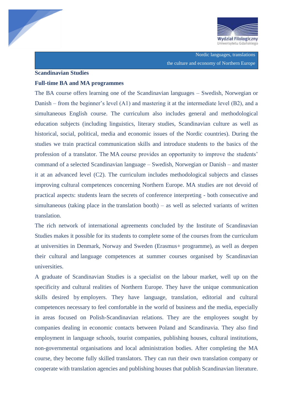

Nordic languages, translations the culture and economy of Northern Europe

#### **Scandinavian Studies**

#### **Full-time BA and MA programmes**

The BA course offers learning one of the Scandinavian languages – Swedish, Norwegian or Danish – from the beginner's level (A1) and mastering it at the intermediate level (B2), and a simultaneous English course. The curriculum also includes general and methodological education subjects (including linguistics, literary studies, Scandinavian culture as well as historical, social, political, media and economic issues of the Nordic countries). During the studies we train practical communication skills and introduce students to the basics of the profession of a translator. The MA course provides an opportunity to improve the students' command of a selected Scandinavian language – Swedish, Norwegian or Danish – and master it at an advanced level (C2). The curriculum includes methodological subjects and classes improving cultural competences concerning Northern Europe. MA studies are not devoid of practical aspects: students learn the secrets of conference interpreting - both consecutive and simultaneous (taking place in the translation booth) – as well as selected variants of written translation.

The rich network of international agreements concluded by the Institute of Scandinavian Studies makes it possible for its students to complete some of the courses from the curriculum at universities in Denmark, Norway and Sweden (Erasmus+ programme), as well as deepen their cultural and language competences at summer courses organised by Scandinavian universities.

A graduate of Scandinavian Studies is a specialist on the labour market, well up on the specificity and cultural realities of Northern Europe. They have the unique communication skills desired by employers. They have language, translation, editorial and cultural competences necessary to feel comfortable in the world of business and the media, especially in areas focused on Polish-Scandinavian relations. They are the employees sought by companies dealing in economic contacts between Poland and Scandinavia. They also find employment in language schools, tourist companies, publishing houses, cultural institutions, non-governmental organisations and local administration bodies. After completing the MA course, they become fully skilled translators. They can run their own translation company or cooperate with translation agencies and publishing houses that publish Scandinavian literature.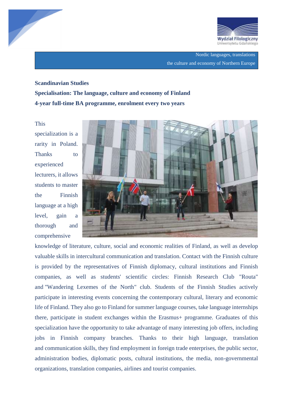



Nordic languages, translations the culture and economy of Northern Europe

# **Scandinavian Studies Specialisation: The language, culture and economy of Finland 4-year full-time BA programme, enrolment every two years**

This specialization is a rarity in Poland. Thanks to experienced lecturers, it allows students to master the Finnish language at a high level, gain a thorough and comprehensive



knowledge of literature, culture, social and economic realities of Finland, as well as develop valuable skills in intercultural communication and translation. Contact with the Finnish culture is provided by the representatives of Finnish diplomacy, cultural institutions and Finnish companies, as well as students' scientific circles: Finnish Research Club "Routa" and "Wandering Lexemes of the North" club. Students of the Finnish Studies actively participate in interesting events concerning the contemporary cultural, literary and economic life of Finland. They also go to Finland for summer language courses, take language internships there, participate in student exchanges within the Erasmus+ programme. Graduates of this specialization have the opportunity to take advantage of many interesting job offers, including jobs in Finnish company branches. Thanks to their high language, translation and communication skills, they find employment in foreign trade enterprises, the public sector, administration bodies, diplomatic posts, cultural institutions, the media, non-governmental organizations, translation companies, airlines and tourist companies.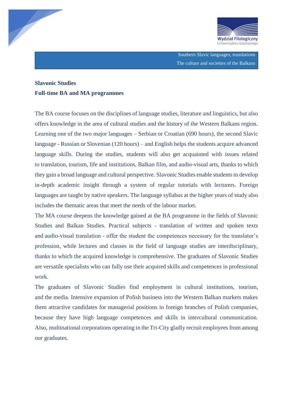



Southern Slavic languages, translations The culture and societies of the Balkans

### **Slavonic Studies Full-time BA and MA programmes**

The BA course focuses on the disciplines of language studies, literature and linguistics, but also offers knowledge in the area of cultural studies and the history of the Western Balkans region. Learning one of the two major languages – Serbian or Croatian (690 hours), the second Slavic language - Russian or Slovenian (120 hours) – and English helps the students acquire advanced language skills. During the studies, students will also get acquainted with issues related to translation, tourism, life and institutions, Balkan film, and audio-visual arts, thanks to which they gain a broad language and cultural perspective. Slavonic Studies enable students to develop in-depth academic insight through a system of regular tutorials with lecturers. Foreign languages are taught by native speakers. The language syllabus at the higher years of study also includes the thematic areas that meet the needs of the labour market.

The MA course deepens the knowledge gained at the BA programme in the fields of Slavonic Studies and Balkan Studies. Practical subjects - translation of written and spoken texts and audio-visual translation - offer the student the competences necessary for the translator's profession, while lectures and classes in the field of language studies are interdisciplinary, thanks to which the acquired knowledge is comprehensive. The graduates of Slavonic Studies are versatile specialists who can fully use their acquired skills and competences in professional work.

The graduates of Slavonic Studies find employment in cultural institutions, tourism, and the media. Intensive expansion of Polish business into the Western Balkan markets makes them attractive candidates for managerial positions in foreign branches of Polish companies, because they have high language competences and skills in intercultural communication. Also, multinational corporations operating in the Tri-City gladly recruit employees from among our graduates.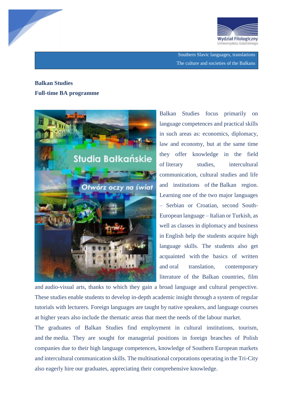



Southern Slavic languages, translations The culture and societies of the Balkans

### **Balkan Studies Full-time BA programme**



Balkan Studies focus primarily on language competences and practical skills in such areas as: economics, diplomacy, law and economy, but at the same time they offer knowledge in the field of literary studies, intercultural communication, cultural studies and life and institutions of the Balkan region. Learning one of the two major languages – Serbian or Croatian, second South-European language – Italian or Turkish, as well as classes in diplomacy and business in English help the students acquire high language skills. The students also get acquainted with the basics of written and oral translation, contemporary literature of the Balkan countries, film

and audio-visual arts, thanks to which they gain a broad language and cultural perspective. These studies enable students to develop in-depth academic insight through a system of regular tutorials with lecturers. Foreign languages are taught by native speakers, and language courses at higher years also include the thematic areas that meet the needs of the labour market.

The graduates of Balkan Studies find employment in cultural institutions, tourism, and the media. They are sought for managerial positions in foreign branches of Polish companies due to their high language competences, knowledge of Southern European markets and intercultural communication skills. The multinational corporations operating in the Tri-City also eagerly hire our graduates, appreciating their comprehensive knowledge.